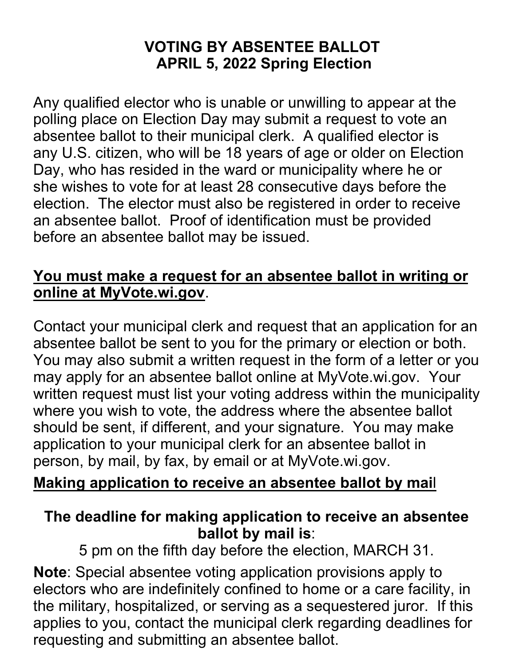## **VOTING BY ABSENTEE BALLOT APRIL 5, 2022 Spring Election**

Any qualified elector who is unable or unwilling to appear at the polling place on Election Day may submit a request to vote an absentee ballot to their municipal clerk. A qualified elector is any U.S. citizen, who will be 18 years of age or older on Election Day, who has resided in the ward or municipality where he or she wishes to vote for at least 28 consecutive days before the election. The elector must also be registered in order to receive an absentee ballot. Proof of identification must be provided before an absentee ballot may be issued.

### **You must make a request for an absentee ballot in writing or online at MyVote.wi.gov**.

Contact your municipal clerk and request that an application for an absentee ballot be sent to you for the primary or election or both. You may also submit a written request in the form of a letter or you may apply for an absentee ballot online at MyVote.wi.gov. Your written request must list your voting address within the municipality where you wish to vote, the address where the absentee ballot should be sent, if different, and your signature. You may make application to your municipal clerk for an absentee ballot in person, by mail, by fax, by email or at MyVote.wi.gov.

### **Making application to receive an absentee ballot by mai**l

#### **The deadline for making application to receive an absentee ballot by mail is**:

5 pm on the fifth day before the election, MARCH 31.

**Note**: Special absentee voting application provisions apply to electors who are indefinitely confined to home or a care facility, in the military, hospitalized, or serving as a sequestered juror. If this applies to you, contact the municipal clerk regarding deadlines for requesting and submitting an absentee ballot.